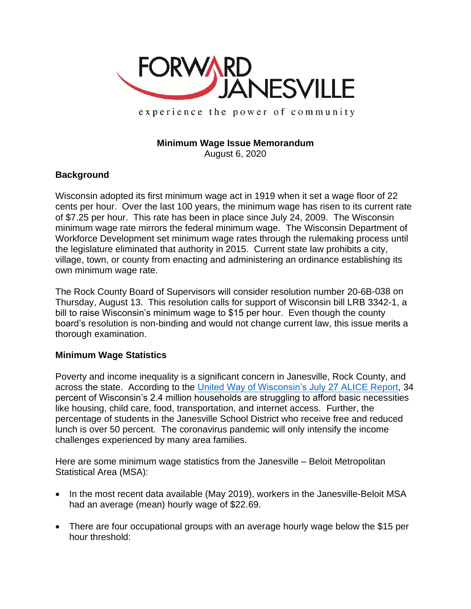

experience the power of community

# **Minimum Wage Issue Memorandum**

August 6, 2020

## **Background**

Wisconsin adopted its first minimum wage act in 1919 when it set a wage floor of 22 cents per hour. Over the last 100 years, the minimum wage has risen to its current rate of \$7.25 per hour. This rate has been in place since July 24, 2009. The Wisconsin minimum wage rate mirrors the federal minimum wage. The Wisconsin Department of Workforce Development set minimum wage rates through the rulemaking process until the legislature eliminated that authority in 2015. Current state law prohibits a city, village, town, or county from enacting and administering an ordinance establishing its own minimum wage rate.

The Rock County Board of Supervisors will consider resolution number 20-6B-038 on Thursday, August 13. This resolution calls for support of Wisconsin bill LRB 3342-1, a bill to raise Wisconsin's minimum wage to \$15 per hour. Even though the county board's resolution is non-binding and would not change current law, this issue merits a thorough examination.

## **Minimum Wage Statistics**

Poverty and income inequality is a significant concern in Janesville, Rock County, and across the state. According to the [United Way of Wisconsin's July 27 ALICE Report,](https://www.greatriversunitedway.org/wp-content/uploads/2020/07/Wisconsin_ALICE_Report_2020.pdf) 34 percent of Wisconsin's 2.4 million households are struggling to afford basic necessities like housing, child care, food, transportation, and internet access. Further, the percentage of students in the Janesville School District who receive free and reduced lunch is over 50 percent. The coronavirus pandemic will only intensify the income challenges experienced by many area families.

Here are some minimum wage statistics from the Janesville – Beloit Metropolitan Statistical Area (MSA):

- In the most recent data available (May 2019), workers in the Janesville-Beloit MSA had an average (mean) hourly wage of \$22.69.
- There are four occupational groups with an average hourly wage below the \$15 per hour threshold: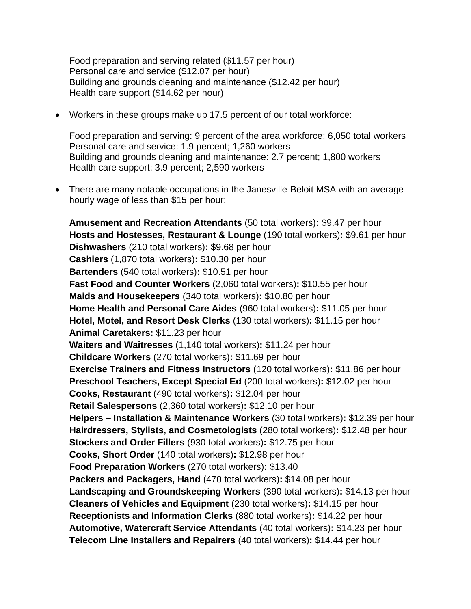Food preparation and serving related (\$11.57 per hour) Personal care and service (\$12.07 per hour) Building and grounds cleaning and maintenance (\$12.42 per hour) Health care support (\$14.62 per hour)

• Workers in these groups make up 17.5 percent of our total workforce:

Food preparation and serving: 9 percent of the area workforce; 6,050 total workers Personal care and service: 1.9 percent; 1,260 workers Building and grounds cleaning and maintenance: 2.7 percent; 1,800 workers Health care support: 3.9 percent; 2,590 workers

• There are many notable occupations in the Janesville-Beloit MSA with an average hourly wage of less than \$15 per hour:

**Amusement and Recreation Attendants** (50 total workers)**:** \$9.47 per hour **Hosts and Hostesses, Restaurant & Lounge** (190 total workers)**:** \$9.61 per hour **Dishwashers** (210 total workers)**:** \$9.68 per hour **Cashiers** (1,870 total workers)**:** \$10.30 per hour **Bartenders** (540 total workers)**:** \$10.51 per hour **Fast Food and Counter Workers** (2,060 total workers)**:** \$10.55 per hour **Maids and Housekeepers** (340 total workers)**:** \$10.80 per hour **Home Health and Personal Care Aides** (960 total workers)**:** \$11.05 per hour **Hotel, Motel, and Resort Desk Clerks** (130 total workers)**:** \$11.15 per hour **Animal Caretakers:** \$11.23 per hour **Waiters and Waitresses** (1,140 total workers)**:** \$11.24 per hour **Childcare Workers** (270 total workers)**:** \$11.69 per hour **Exercise Trainers and Fitness Instructors** (120 total workers)**:** \$11.86 per hour **Preschool Teachers, Except Special Ed** (200 total workers)**:** \$12.02 per hour **Cooks, Restaurant** (490 total workers)**:** \$12.04 per hour **Retail Salespersons** (2,360 total workers)**:** \$12.10 per hour **Helpers – Installation & Maintenance Workers** (30 total workers)**:** \$12.39 per hour **Hairdressers, Stylists, and Cosmetologists** (280 total workers)**:** \$12.48 per hour **Stockers and Order Fillers** (930 total workers)**:** \$12.75 per hour **Cooks, Short Order** (140 total workers)**:** \$12.98 per hour **Food Preparation Workers** (270 total workers)**:** \$13.40 **Packers and Packagers, Hand** (470 total workers)**:** \$14.08 per hour **Landscaping and Groundskeeping Workers** (390 total workers)**:** \$14.13 per hour **Cleaners of Vehicles and Equipment** (230 total workers)**:** \$14.15 per hour **Receptionists and Information Clerks** (880 total workers)**:** \$14.22 per hour **Automotive, Watercraft Service Attendants** (40 total workers)**:** \$14.23 per hour **Telecom Line Installers and Repairers** (40 total workers)**:** \$14.44 per hour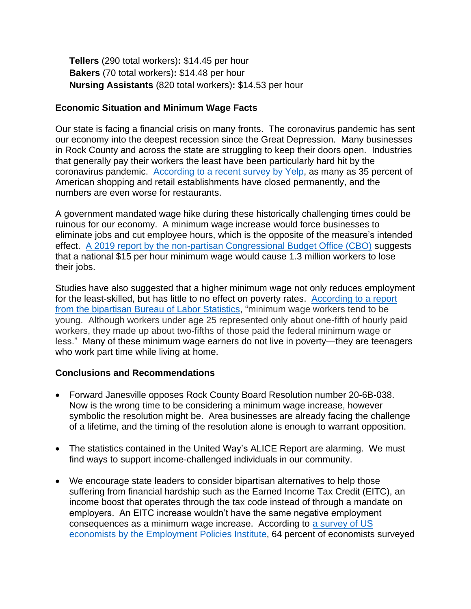**Tellers** (290 total workers)**:** \$14.45 per hour **Bakers** (70 total workers)**:** \$14.48 per hour **Nursing Assistants** (820 total workers)**:** \$14.53 per hour

# **Economic Situation and Minimum Wage Facts**

Our state is facing a financial crisis on many fronts. The coronavirus pandemic has sent our economy into the deepest recession since the Great Depression. Many businesses in Rock County and across the state are struggling to keep their doors open. Industries that generally pay their workers the least have been particularly hard hit by the coronavirus pandemic. [According to a recent survey by Yelp,](https://www.yelpeconomicaverage.com/yelp-coronavirus-economic-impact-report.html) as many as 35 percent of American shopping and retail establishments have closed permanently, and the numbers are even worse for restaurants.

A government mandated wage hike during these historically challenging times could be ruinous for our economy. A minimum wage increase would force businesses to eliminate jobs and cut employee hours, which is the opposite of the measure's intended effect. [A 2019 report by the non-partisan Congressional Budget Office \(CBO\)](https://www.cbo.gov/system/files/2019-07/CBO-55410-MinimumWage2019.pdf) suggests that a national \$15 per hour minimum wage would cause 1.3 million workers to lose their jobs.

Studies have also suggested that a higher minimum wage not only reduces employment for the least-skilled, but has little to no effect on poverty rates. [According to a report](https://www.bls.gov/opub/reports/minimum-wage/2019/home.htm#table10)  [from the bipartisan Bureau of Labor Statistics,](https://www.bls.gov/opub/reports/minimum-wage/2019/home.htm#table10) "minimum wage workers tend to be young. Although workers under age 25 represented only about one-fifth of hourly paid workers, they made up about two-fifths of those paid the federal minimum wage or less." Many of these minimum wage earners do not live in poverty—they are teenagers who work part time while living at home.

## **Conclusions and Recommendations**

- Forward Janesville opposes Rock County Board Resolution number 20-6B-038. Now is the wrong time to be considering a minimum wage increase, however symbolic the resolution might be. Area businesses are already facing the challenge of a lifetime, and the timing of the resolution alone is enough to warrant opposition.
- The statistics contained in the United Way's ALICE Report are alarming. We must find ways to support income-challenged individuals in our community.
- We encourage state leaders to consider bipartisan alternatives to help those suffering from financial hardship such as the Earned Income Tax Credit (EITC), an income boost that operates through the tax code instead of through a mandate on employers. An EITC increase wouldn't have the same negative employment consequences as a minimum wage increase. According to a survey of US economists by the Employment Policies Institute, 64 perce[nt of economists surveyed](https://epionline.org/wp-content/uploads/2019/03/EPI_Feb2019_MinWageSurvey-FINAL.pdf)